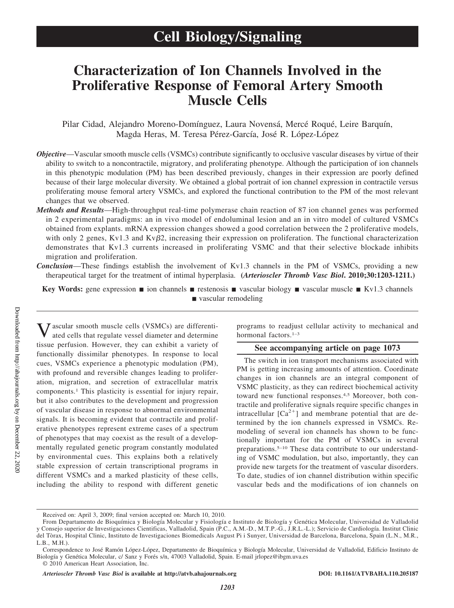# **Characterization of Ion Channels Involved in the Proliferative Response of Femoral Artery Smooth Muscle Cells**

Pilar Cidad, Alejandro Moreno-Domínguez, Laura Novensá, Mercé Roqué, Leire Barquín, Magda Heras, M. Teresa Pérez-García, José R. López-López

- *Objective*—Vascular smooth muscle cells (VSMCs) contribute significantly to occlusive vascular diseases by virtue of their ability to switch to a noncontractile, migratory, and proliferating phenotype. Although the participation of ion channels in this phenotypic modulation (PM) has been described previously, changes in their expression are poorly defined because of their large molecular diversity. We obtained a global portrait of ion channel expression in contractile versus proliferating mouse femoral artery VSMCs, and explored the functional contribution to the PM of the most relevant changes that we observed.
- *Methods and Results*—High-throughput real-time polymerase chain reaction of 87 ion channel genes was performed in 2 experimental paradigms: an in vivo model of endoluminal lesion and an in vitro model of cultured VSMCs obtained from explants. mRNA expression changes showed a good correlation between the 2 proliferative models, with only 2 genes, Kv1.3 and Kv $\beta$ 2, increasing their expression on proliferation. The functional characterization demonstrates that Kv1.3 currents increased in proliferating VSMC and that their selective blockade inhibits migration and proliferation.
- *Conclusion*—These findings establish the involvement of Kv1.3 channels in the PM of VSMCs, providing a new therapeutical target for the treatment of intimal hyperplasia. **(***Arterioscler Thromb Vasc Biol***. 2010;30:1203-1211.)**

**Key Words:** gene expression  $\blacksquare$  ion channels  $\blacksquare$  restenosis  $\blacksquare$  vascular biology  $\blacksquare$  vascular muscle  $\blacksquare$  Kv1.3 channels vascular remodeling

Vascular smooth muscle cells (VSMCs) are differenti-ated cells that regulate vessel diameter and determine tissue perfusion. However, they can exhibit a variety of functionally dissimilar phenotypes. In response to local cues, VSMCs experience a phenotypic modulation (PM), with profound and reversible changes leading to proliferation, migration, and secretion of extracellular matrix components.1 This plasticity is essential for injury repair, but it also contributes to the development and progression of vascular disease in response to abnormal environmental signals. It is becoming evident that contractile and proliferative phenotypes represent extreme cases of a spectrum of phenotypes that may coexist as the result of a developmentally regulated genetic program constantly modulated by environmental cues. This explains both a relatively stable expression of certain transcriptional programs in different VSMCs and a marked plasticity of these cells, including the ability to respond with different genetic programs to readjust cellular activity to mechanical and hormonal factors.<sup>1-3</sup>

# **See accompanying article on page 1073**

The switch in ion transport mechanisms associated with PM is getting increasing amounts of attention. Coordinate changes in ion channels are an integral component of VSMC plasticity, as they can redirect biochemical activity toward new functional responses.4,5 Moreover, both contractile and proliferative signals require specific changes in intracellular  $[Ca^{2+}]$  and membrane potential that are determined by the ion channels expressed in VSMCs. Remodeling of several ion channels has shown to be functionally important for the PM of VSMCs in several preparations.5–10 These data contribute to our understanding of VSMC modulation, but also, importantly, they can provide new targets for the treatment of vascular disorders. To date, studies of ion channel distribution within specific vascular beds and the modifications of ion channels on

*Arterioscler Thromb Vasc Biol* **is available at http://atvb.ahajournals.org DOI: 10.1161/ATVBAHA.110.205187**

Received on: April 3, 2009; final version accepted on: March 10, 2010.

From Departamento de Bioquímica y Biología Molecular y Fisiología e Instituto de Biología y Genética Molecular, Universidad de Valladolid y Consejo superior de Investigaciones Cientificas, Valladolid, Spain (P.C., A.M.-D., M.T.P.-G., J.R.L.-L.); Servicio de Cardiología. Institut Clinic del Tòrax, Hospital Clinic, Instituto de Investigaciones Biomedicals August Pi i Sunyer, Universidad de Barcelona, Barcelona, Spain (L.N., M.R., L.B., M.H.).

Correspondence to José Ramón López-López, Departamento de Bioquímica y Biología Molecular, Universidad de Valladolid, Edificio Instituto de Biología y Genética Molecular, c/ Sanz y Forés s/n, 47003 Valladolid, Spain. E-mail jrlopez@ibgm.uva.es

<sup>© 2010</sup> American Heart Association, Inc.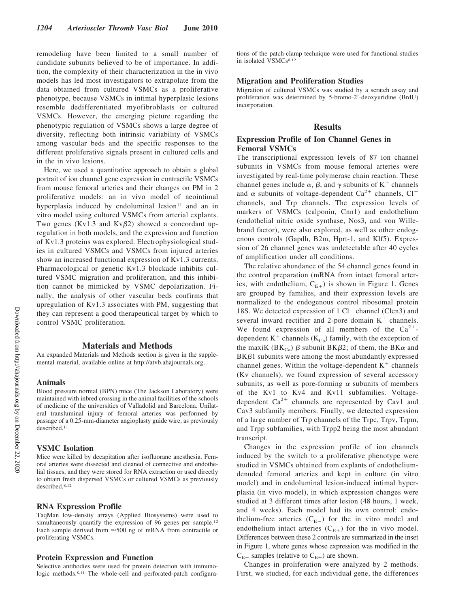remodeling have been limited to a small number of candidate subunits believed to be of importance. In addition, the complexity of their characterization in the in vivo models has led most investigators to extrapolate from the data obtained from cultured VSMCs as a proliferative phenotype, because VSMCs in intimal hyperplasic lesions resemble dedifferentiated myofibroblasts or cultured VSMCs. However, the emerging picture regarding the phenotypic regulation of VSMCs shows a large degree of diversity, reflecting both intrinsic variability of VSMCs among vascular beds and the specific responses to the different proliferative signals present in cultured cells and in the in vivo lesions.

Here, we used a quantitative approach to obtain a global portrait of ion channel gene expression in contractile VSMCs from mouse femoral arteries and their changes on PM in 2 proliferative models: an in vivo model of neointimal hyperplasia induced by endoluminal lesion<sup>11</sup> and an in vitro model using cultured VSMCs from arterial explants. Two genes (Kv1.3 and Kv $\beta$ 2) showed a concordant upregulation in both models, and the expression and function of Kv1.3 proteins was explored. Electrophysiological studies in cultured VSMCs and VSMCs from injured arteries show an increased functional expression of Kv1.3 currents. Pharmacological or genetic Kv1.3 blockade inhibits cultured VSMC migration and proliferation, and this inhibition cannot be mimicked by VSMC depolarization. Finally, the analysis of other vascular beds confirms that upregulation of Kv1.3 associates with PM, suggesting that they can represent a good therapeutical target by which to control VSMC proliferation.

# **Materials and Methods**

An expanded Materials and Methods section is given in the supplemental material, available online at http://atvb.ahajournals.org.

#### **Animals**

Blood pressure normal (BPN) mice (The Jackson Laboratory) were maintained with inbred crossing in the animal facilities of the schools of medicine of the universities of Valladolid and Barcelona. Unilateral transluminal injury of femoral arteries was performed by passage of a 0.25-mm-diameter angioplasty guide wire, as previously described.<sup>11</sup>

# **VSMC Isolation**

Mice were killed by decapitation after isofluorane anesthesia. Femoral arteries were dissected and cleaned of connective and endothelial tissues, and they were stored for RNA extraction or used directly to obtain fresh dispersed VSMCs or cultured VSMCs as previously described.8,12

### **RNA Expression Profile**

TaqMan low-density arrays (Applied Biosystems) were used to simultaneously quantify the expression of 96 genes per sample.<sup>12</sup> Each sample derived from  $\approx$  500 ng of mRNA from contractile or proliferating VSMCs.

### **Protein Expression and Function**

Selective antibodies were used for protein detection with immunologic methods.<sup>8,11</sup> The whole-cell and perforated-patch configurations of the patch-clamp technique were used for functional studies in isolated VSMCs<sup>8,12</sup>

### **Migration and Proliferation Studies**

Migration of cultured VSMCs was studied by a scratch assay and proliferation was determined by 5-bromo-2-deoxyuridine (BrdU) incorporation.

### **Results**

### **Expression Profile of Ion Channel Genes in Femoral VSMCs**

The transcriptional expression levels of 87 ion channel subunits in VSMCs from mouse femoral arteries were investigated by real-time polymerase chain reaction. These channel genes include  $\alpha$ ,  $\beta$ , and  $\gamma$  subunits of K<sup>+</sup> channels and  $\alpha$  subunits of voltage-dependent Ca<sup>2+</sup> channels, Cl<sup>-</sup> channels, and Trp channels. The expression levels of markers of VSMCs (calponin, Cnn1) and endothelium (endothelial nitric oxide synthase, Nos3, and von Willebrand factor), were also explored, as well as other endogenous controls (Gapdh, B2m, Hprt-1, and Klf5). Expression of 26 channel genes was undetectable after 40 cycles of amplification under all conditions.

The relative abundance of the 54 channel genes found in the control preparation (mRNA from intact femoral arteries, with endothelium,  $C_{E+}$ ) is shown in Figure 1. Genes are grouped by families, and their expression levels are normalized to the endogenous control ribosomal protein 18S. We detected expression of  $1 \text{ Cl}^-$  channel (Clcn3) and several inward rectifier and 2-pore domain  $K^+$  channels. We found expression of all members of the  $Ca^{2+}$ dependent  $K^+$  channels ( $K_{Ca}$ ) family, with the exception of the maxiK ( $BK_{Ca}$ )  $\beta$  subunit BK $\beta$ 2; of them, the BK $\alpha$  and  $B K \beta 1$  subunits were among the most abundantly expressed channel genes. Within the voltage-dependent  $K^+$  channels (Kv channels), we found expression of several accessory subunits, as well as pore-forming  $\alpha$  subunits of members of the Kv1 to Kv4 and Kv11 subfamilies. Voltagedependent  $Ca^{2+}$  channels are represented by Cav1 and Cav3 subfamily members. Finally, we detected expression of a large number of Trp channels of the Trpc, Trpv, Trpm, and Trpp subfamilies, with Trpp2 being the most abundant transcript.

Changes in the expression profile of ion channels induced by the switch to a proliferative phenotype were studied in VSMCs obtained from explants of endotheliumdenuded femoral arteries and kept in culture (in vitro model) and in endoluminal lesion-induced intimal hyperplasia (in vivo model), in which expression changes were studied at 3 different times after lesion (48 hours, 1 week, and 4 weeks). Each model had its own control: endothelium-free arteries  $(C_{E-})$  for the in vitro model and endothelium intact arteries  $(C_{E+})$  for the in vivo model. Differences between these 2 controls are summarized in the inset in Figure 1, where genes whose expression was modified in the  $C_{E-}$  samples (relative to  $C_{E+}$ ) are shown.

Changes in proliferation were analyzed by 2 methods. First, we studied, for each individual gene, the differences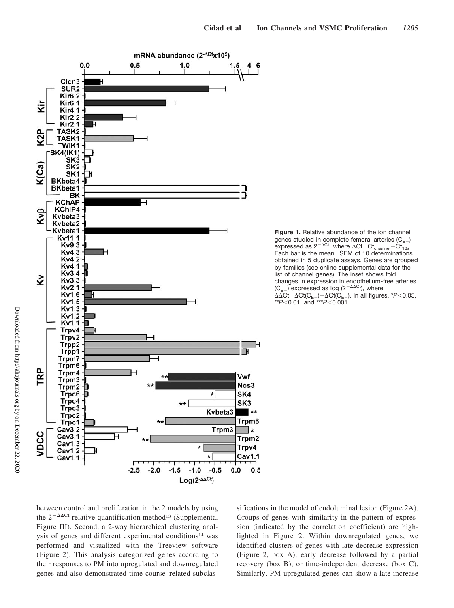



between control and proliferation in the 2 models by using the  $2^{-\Delta\Delta Ct}$  relative quantification method<sup>13</sup> (Supplemental Figure III). Second, a 2-way hierarchical clustering analysis of genes and different experimental conditions<sup>14</sup> was performed and visualized with the Treeview software (Figure 2). This analysis categorized genes according to their responses to PM into upregulated and downregulated genes and also demonstrated time-course–related subclas-

sifications in the model of endoluminal lesion (Figure 2A). Groups of genes with similarity in the pattern of expression (indicated by the correlation coefficient) are highlighted in Figure 2. Within downregulated genes, we identified clusters of genes with late decrease expression (Figure 2, box A), early decrease followed by a partial recovery (box B), or time-independent decrease (box C). Similarly, PM-upregulated genes can show a late increase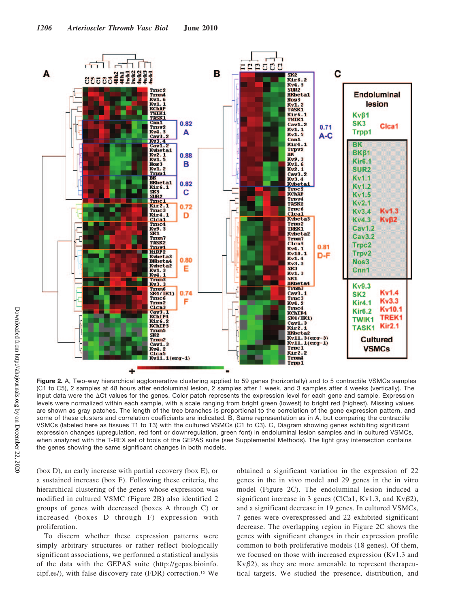

**Figure 2.** A, Two-way hierarchical agglomerative clustering applied to 59 genes (horizontally) and to 5 contractile VSMCs samples (C1 to C5), 2 samples at 48 hours after endoluminal lesion, 2 samples after 1 week, and 3 samples after 4 weeks (vertically). The input data were the  $\Delta$ Ct values for the genes. Color patch represents the expression level for each gene and sample. Expression levels were normalized within each sample, with a scale ranging from bright green (lowest) to bright red (highest). Missing values are shown as gray patches. The length of the tree branches is proportional to the correlation of the gene expression pattern, and some of these clusters and correlation coefficients are indicated. B, Same representation as in A, but comparing the contractile VSMCs (labeled here as tissues T1 to T3) with the cultured VSMCs (C1 to C3). C, Diagram showing genes exhibiting significant expression changes (upregulation, red font or downregulation, green font) in endoluminal lesion samples and in cultured VSMCs, when analyzed with the T-REX set of tools of the GEPAS suite (see Supplemental Methods). The light gray intersection contains the genes showing the same significant changes in both models.

(box D), an early increase with partial recovery (box E), or a sustained increase (box F). Following these criteria, the hierarchical clustering of the genes whose expression was modified in cultured VSMC (Figure 2B) also identified 2 groups of genes with decreased (boxes A through C) or increased (boxes D through F) expression with proliferation.

To discern whether these expression patterns were simply arbitrary structures or rather reflect biologically significant associations, we performed a statistical analysis of the data with the GEPAS suite (http://gepas.bioinfo. cipf.es/), with false discovery rate (FDR) correction.15 We obtained a significant variation in the expression of 22 genes in the in vivo model and 29 genes in the in vitro model (Figure 2C). The endoluminal lesion induced a significant increase in 3 genes (ClCa1, Kv1.3, and Kv $\beta$ 2), and a significant decrease in 19 genes. In cultured VSMCs, 7 genes were overexpressed and 22 exhibited significant decrease. The overlapping region in Figure 2C shows the genes with significant changes in their expression profile common to both proliferative models (18 genes). Of them, we focused on those with increased expression (Kv1.3 and  $Kv\beta2$ , as they are more amenable to represent therapeutical targets. We studied the presence, distribution, and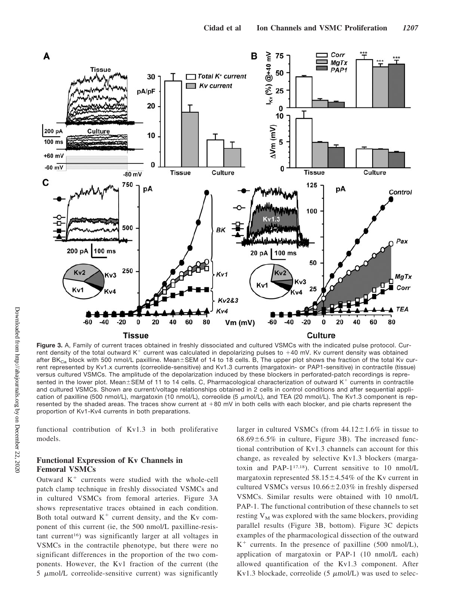

**Figure 3.** A, Family of current traces obtained in freshly dissociated and cultured VSMCs with the indicated pulse protocol. Current density of the total outward  $K^+$  current was calculated in depolarizing pulses to  $+40$  mV. Kv current density was obtained after BK<sub>Ca</sub> block with 500 nmol/L paxilline. Mean $\pm$ SEM of 14 to 18 cells. B, The upper plot shows the fraction of the total Kv current represented by Kv1.x currents (correolide-sensitive) and Kv1.3 currents (margatoxin- or PAP1-sensitive) in contractile (tissue) versus cultured VSMCs. The amplitude of the depolarization induced by these blockers in perforated-patch recordings is represented in the lower plot. Mean $\pm$ SEM of 11 to 14 cells. C, Pharmacological characterization of outward K<sup>+</sup> currents in contractile and cultured VSMCs. Shown are current/voltage relationships obtained in 2 cells in control conditions and after sequential application of paxilline (500 nmol/L), margatoxin (10 nmol/L), correolide (5  $\mu$ mol/L), and TEA (20 mmol/L). The Kv1.3 component is represented by the shaded areas. The traces show current at +80 mV in both cells with each blocker, and pie charts represent the proportion of Kv1-Kv4 currents in both preparations.

functional contribution of Kv1.3 in both proliferative models.

# **Functional Expression of Kv Channels in Femoral VSMCs**

Outward  $K<sup>+</sup>$  currents were studied with the whole-cell patch clamp technique in freshly dissociated VSMCs and in cultured VSMCs from femoral arteries. Figure 3A shows representative traces obtained in each condition. Both total outward  $K^+$  current density, and the Kv component of this current (ie, the 500 nmol/L paxilline-resistant current16) was significantly larger at all voltages in VSMCs in the contractile phenotype, but there were no significant differences in the proportion of the two components. However, the Kv1 fraction of the current (the  $5 \mu$ mol/L correolide-sensitive current) was significantly larger in cultured VSMCs (from  $44.12 \pm 1.6\%$  in tissue to  $68.69 \pm 6.5\%$  in culture, Figure 3B). The increased functional contribution of Kv1.3 channels can account for this change, as revealed by selective Kv1.3 blockers (margatoxin and PAP-117,18). Current sensitive to 10 nmol/L margatoxin represented  $58.15 \pm 4.54\%$  of the Kv current in cultured VSMCs versus  $10.66 \pm 2.03\%$  in freshly dispersed VSMCs. Similar results were obtained with 10 nmol/L PAP-1. The functional contribution of these channels to set resting  $V_M$  was explored with the same blockers, providing parallel results (Figure 3B, bottom). Figure 3C depicts examples of the pharmacological dissection of the outward  $K^+$  currents. In the presence of paxilline (500 nmol/L), application of margatoxin or PAP-1 (10 nmol/L each) allowed quantification of the Kv1.3 component. After Kv1.3 blockade, correolide (5  $\mu$ mol/L) was used to selec-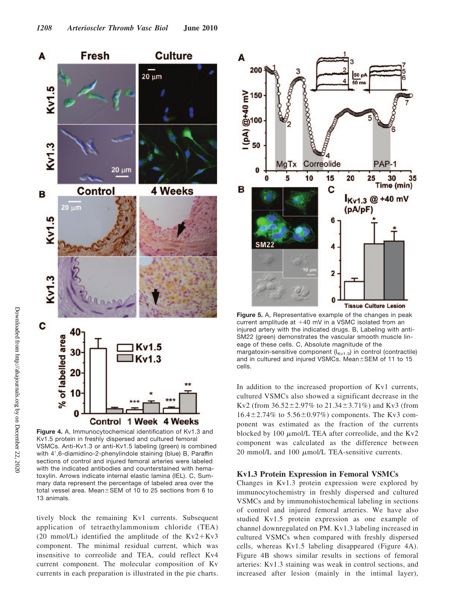

**Figure 4.** A, Immunocytochemical identification of Kv1.3 and Kv1.5 protein in freshly dispersed and cultured femoral VSMCs. Anti-Kv1.3 or anti-Kv1.5 labeling (green) is combined with 4',6-diamidino-2-phenylindole staining (blue) B, Paraffin sections of control and injured femoral arteries were labeled with the indicated antibodies and counterstained with hematoxylin. Arrows indicate internal elastic lamina (IEL). C, Summary data represent the percentage of labeled area over the total vessel area. Mean $\pm$ SEM of 10 to 25 sections from 6 to 13 animals.

tively block the remaining Kv1 currents. Subsequent application of tetraethylammonium chloride (TEA) (20 mmol/L) identified the amplitude of the  $Kv2+Kv3$ component. The minimal residual current, which was insensitive to correolide and TEA, could reflect Kv4 current component. The molecular composition of Kv currents in each preparation is illustrated in the pie charts.



**Figure 5.** A, Representative example of the changes in peak current amplitude at  $+40$  mV in a VSMC isolated from an injured artery with the indicated drugs. B, Labeling with anti-SM22 (green) demonstrates the vascular smooth muscle lineage of these cells. C, Absolute magnitude of the margatoxin-sensitive component  $(I_{Kv1.3})$  in control (contractile) and in cultured and injured VSMCs. Mean $\pm$ SEM of 11 to 15 cells.

In addition to the increased proportion of Kv1 currents, cultured VSMCs also showed a significant decrease in the Kv2 (from  $36.52 \pm 2.97\%$  to  $21.34 \pm 3.71\%$ ) and Kv3 (from  $16.4 \pm 2.74\%$  to  $5.56 \pm 0.97\%$  components. The Kv3 component was estimated as the fraction of the currents blocked by 100  $\mu$ mol/L TEA after correolide, and the Kv2 component was calculated as the difference between 20 mmol/L and 100  $\mu$ mol/L TEA-sensitive currents.

### **Kv1.3 Protein Expression in Femoral VSMCs**

Changes in Kv1.3 protein expression were explored by immunocytochemistry in freshly dispersed and cultured VSMCs and by immunohistochemical labeling in sections of control and injured femoral arteries. We have also studied Kv1.5 protein expression as one example of channel downregulated on PM. Kv1.3 labeling increased in cultured VSMCs when compared with freshly dispersed cells, whereas Kv1.5 labeling disappeared (Figure 4A). Figure 4B shows similar results in sections of femoral arteries: Kv1.3 staining was weak in control sections, and increased after lesion (mainly in the intimal layer),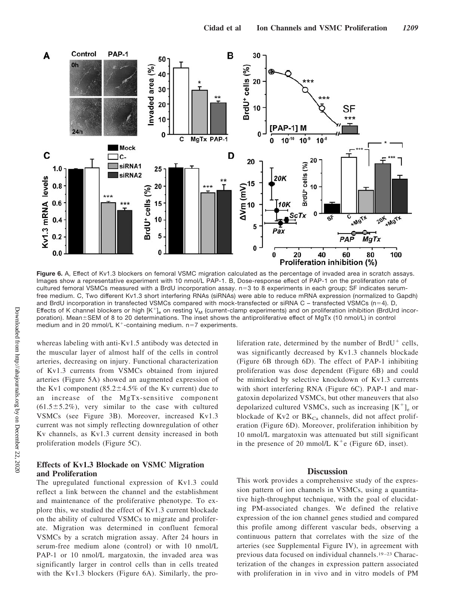

**Figure 6.** A, Effect of Kv1.3 blockers on femoral VSMC migration calculated as the percentage of invaded area in scratch assays. Images show a representative experiment with 10 nmol/L PAP-1. B, Dose-response effect of PAP-1 on the proliferation rate of cultured femoral VSMCs measured with a BrdU incorporation assay. n=3 to 8 experiments in each group; SF indicates serumfree medium. C, Two different Kv1.3 short interfering RNAs (siRNAs) were able to reduce mRNA expression (normalized to Gapdh) and BrdU incorporation in transfected VSMCs compared with mock-transfected or siRNA C – transfected VSMCs (n=4). D, Effects of K channel blockers or high  $[K^+]_e$  on resting V<sub>M</sub> (current-clamp experiments) and on proliferation inhibition (BrdUrd incorporation). Mean±SEM of 8 to 20 determinations. The inset shows the antiproliferative effect of MgTx (10 nmol/L) in control medium and in 20 mmol/L  $K^+$ -containing medium. n=7 experiments.

whereas labeling with anti-Kv1.5 antibody was detected in the muscular layer of almost half of the cells in control arteries, decreasing on injury. Functional characterization of Kv1.3 currents from VSMCs obtained from injured arteries (Figure 5A) showed an augmented expression of the Kv1 component  $(85.2 \pm 4.5\%$  of the Kv current) due to an increase of the MgTx-sensitive component  $(61.5 \pm 5.2\%)$ , very similar to the case with cultured VSMCs (see Figure 3B). Moreover, increased Kv1.3 current was not simply reflecting downregulation of other Kv channels, as Kv1.3 current density increased in both proliferation models (Figure 5C).

# **Effects of Kv1.3 Blockade on VSMC Migration and Proliferation**

The upregulated functional expression of Kv1.3 could reflect a link between the channel and the establishment and maintenance of the proliferative phenotype. To explore this, we studied the effect of Kv1.3 current blockade on the ability of cultured VSMCs to migrate and proliferate. Migration was determined in confluent femoral VSMCs by a scratch migration assay. After 24 hours in serum-free medium alone (control) or with 10 nmol/L PAP-1 or 10 nmol/L margatoxin, the invaded area was significantly larger in control cells than in cells treated with the Kv1.3 blockers (Figure 6A). Similarly, the proliferation rate, determined by the number of  $BrdU^{+}$  cells, was significantly decreased by Kv1.3 channels blockade (Figure 6B through 6D). The effect of PAP-1 inhibiting proliferation was dose dependent (Figure 6B) and could be mimicked by selective knockdown of Kv1.3 currents with short interfering RNA (Figure 6C). PAP-1 and margatoxin depolarized VSMCs, but other maneuvers that also depolarized cultured VSMCs, such as increasing  $[K^+]_e$  or blockade of Kv2 or  $BK_{Ca}$  channels, did not affect proliferation (Figure 6D). Moreover, proliferation inhibition by 10 nmol/L margatoxin was attenuated but still significant in the presence of 20 mmol/L  $K^+e$  (Figure 6D, inset).

# **Discussion**

This work provides a comprehensive study of the expression pattern of ion channels in VSMCs, using a quantitative high-throughput technique, with the goal of elucidating PM-associated changes. We defined the relative expression of the ion channel genes studied and compared this profile among different vascular beds, observing a continuous pattern that correlates with the size of the arteries (see Supplemental Figure IV), in agreement with previous data focused on individual channels.<sup>19-23</sup> Characterization of the changes in expression pattern associated with proliferation in in vivo and in vitro models of PM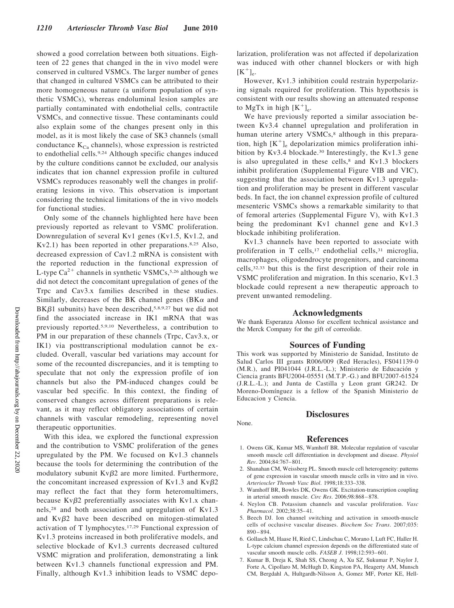showed a good correlation between both situations. Eighteen of 22 genes that changed in the in vivo model were conserved in cultured VSMCs. The larger number of genes that changed in cultured VSMCs can be attributed to their more homogeneous nature (a uniform population of synthetic VSMCs), whereas endoluminal lesion samples are partially contaminated with endothelial cells, contractile VSMCs, and connective tissue. These contaminants could also explain some of the changes present only in this model, as it is most likely the case of SK3 channels (small conductance  $K_{Ca}$  channels), whose expression is restricted to endothelial cells.9,24 Although specific changes induced by the culture conditions cannot be excluded, our analysis indicates that ion channel expression profile in cultured VSMCs reproduces reasonably well the changes in proliferating lesions in vivo. This observation is important considering the technical limitations of the in vivo models for functional studies.

Only some of the channels highlighted here have been previously reported as relevant to VSMC proliferation. Downregulation of several Kv1 genes (Kv1.5, Kv1.2, and Kv2.1) has been reported in other preparations.8,25 Also, decreased expression of Cav1.2 mRNA is consistent with the reported reduction in the functional expression of L-type  $Ca^{2+}$  channels in synthetic VSMCs,<sup>5,26</sup> although we did not detect the concomitant upregulation of genes of the Trpc and Cav3.x families described in these studies. Similarly, decreases of the BK channel genes (BK $\alpha$  and  $B K \beta 1$  subunits) have been described, 5,8,9,27 but we did not find the associated increase in IK1 mRNA that was previously reported.5,9,10 Nevertheless, a contribution to PM in our preparation of these channels (Trpc, Cav3.x, or IK1) via posttranscriptional modulation cannot be excluded. Overall, vascular bed variations may account for some of the recounted discrepancies, and it is tempting to speculate that not only the expression profile of ion channels but also the PM-induced changes could be vascular bed specific. In this context, the finding of conserved changes across different preparations is relevant, as it may reflect obligatory associations of certain channels with vascular remodeling, representing novel therapeutic opportunities.

With this idea, we explored the functional expression and the contribution to VSMC proliferation of the genes upregulated by the PM. We focused on Kv1.3 channels because the tools for determining the contribution of the modulatory subunit  $Kv\beta2$  are more limited. Furthermore, the concomitant increased expression of Kv1.3 and Kv $\beta$ 2 may reflect the fact that they form heteromultimers, because  $Kv\beta2$  preferentially associates with  $Kv1.x$  channels,28 and both association and upregulation of Kv1.3 and  $Kv\beta2$  have been described on mitogen-stimulated activation of T lymphocytes.17,29 Functional expression of Kv1.3 proteins increased in both proliferative models, and selective blockade of Kv1.3 currents decreased cultured VSMC migration and proliferation, demonstrating a link between Kv1.3 channels functional expression and PM. Finally, although Kv1.3 inhibition leads to VSMC depolarization, proliferation was not affected if depolarization was induced with other channel blockers or with high  $[K^+]_e$ .

However, Kv1.3 inhibition could restrain hyperpolarizing signals required for proliferation. This hypothesis is consistent with our results showing an attenuated response to MgTx in high  $[K^+]_e$ .

We have previously reported a similar association between Kv3.4 channel upregulation and proliferation in human uterine artery VSMCs,<sup>8</sup> although in this preparation, high  $[K^+]$ <sub>e</sub> depolarization mimics proliferation inhibition by Kv3.4 blockade.<sup>30</sup> Interestingly, the Kv1.3 gene is also upregulated in these cells,<sup>8</sup> and Kv1.3 blockers inhibit proliferation (Supplemental Figure VIB and VIC), suggesting that the association between Kv1.3 upregulation and proliferation may be present in different vascular beds. In fact, the ion channel expression profile of cultured mesenteric VSMCs shows a remarkable similarity to that of femoral arteries (Supplemental Figure V), with Kv1.3 being the predominant Kv1 channel gene and Kv1.3 blockade inhibiting proliferation.

Kv1.3 channels have been reported to associate with proliferation in T cells,  $17$  endothelial cells,  $31$  microglia, macrophages, oligodendrocyte progenitors, and carcinoma cells,32,33 but this is the first description of their role in VSMC proliferation and migration. In this scenario, Kv1.3 blockade could represent a new therapeutic approach to prevent unwanted remodeling.

### **Acknowledgments**

We thank Esperanza Alonso for excellent technical assistance and the Merck Company for the gift of correolide.

### **Sources of Funding**

This work was supported by Ministerio de Sanidad, Instituto de Salud Carlos III grants R006/009 (Red Heracles), FS041139-0  $(M.R.),$  and PI041044  $(J.R.L.-L.);$  Ministerio de Educación y Ciencia grants BFU2004-05551 (M.T.P.-G.) and BFU2007-61524 (J.R.L.-L.); and Junta de Castilla y Leon grant GR242. Dr Moreno-Domínguez is a fellow of the Spanish Ministerio de Educacion y Ciencia.

# **Disclosures**

### None.

### **References**

- 1. Owens GK, Kumar MS, Wamhoff BR. Molecular regulation of vascular smooth muscle cell differentiation in development and disease. *Physiol Rev*. 2004;84:767– 801.
- 2. Shanahan CM, Weissberg PL. Smooth muscle cell heterogeneity: patterns of gene expression in vascular smooth muscle cells in vitro and in vivo. *Arterioscler Thromb Vasc Biol*. 1998;18:333–338.
- 3. Wamhoff BR, Bowles DK, Owens GK. Excitation-transcription coupling in arterial smooth muscle. *Circ Res*. 2006;98:868 – 878.
- 4. Neylon CB. Potassium channels and vascular proliferation. *Vasc Pharmacol*. 2002;38:35– 41.
- 5. Beech DJ. Ion channel switching and activation in smooth-muscle cells of occlusive vascular diseases. *Biochem Soc Trans*. 2007;035:  $890 - 894.$
- 6. Gollasch M, Haase H, Ried C, Lindschau C, Morano I, Luft FC, Haller H. L-type calcium channel expression depends on the differentiated state of vascular smooth muscle cells. *FASEB J*. 1998;12:593– 601.
- 7. Kumar B, Dreja K, Shah SS, Cheong A, Xu SZ, Sukumar P, Naylor J, Forte A, Cipollaro M, McHugh D, Kingston PA, Heagerty AM, Munsch CM, Bergdahl A, Hultgardh-Nilsson A, Gomez MF, Porter KE, Hell-